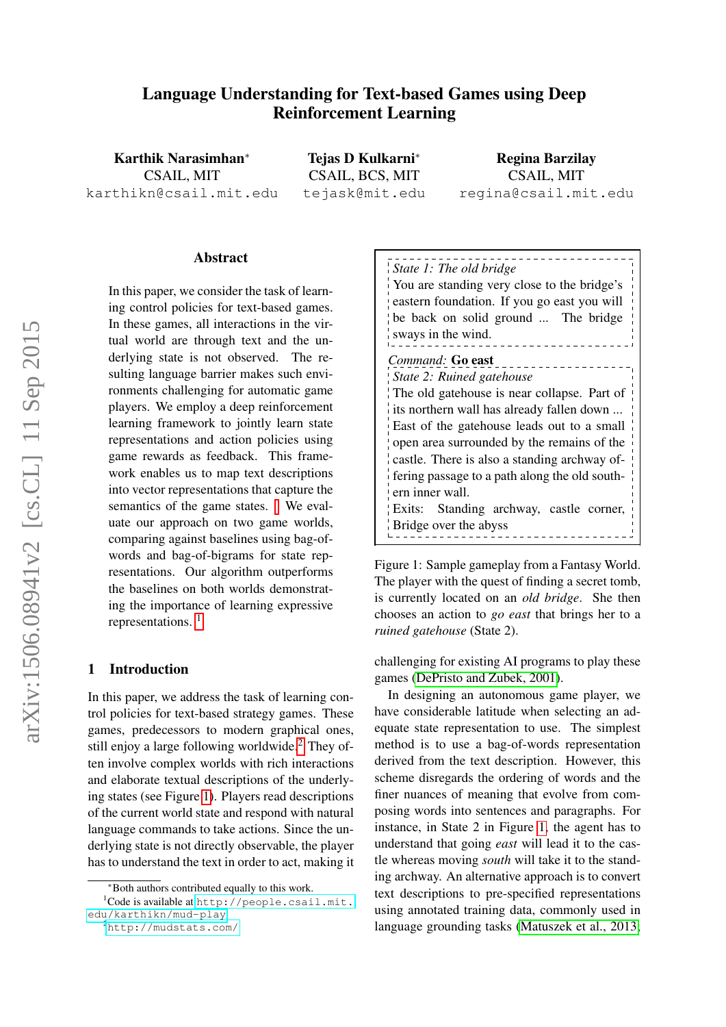# Language Understanding for Text-based Games using Deep Reinforcement Learning

Karthik Narasimhan<sup>∗</sup> CSAIL, MIT karthikn@csail.mit.edu

Tejas D Kulkarni<sup>∗</sup> CSAIL, BCS, MIT tejask@mit.edu

Regina Barzilay CSAIL, MIT regina@csail.mit.edu

#### Abstract

In this paper, we consider the task of learning control policies for text-based games. In these games, all interactions in the virtual world are through text and the underlying state is not observed. The resulting language barrier makes such environments challenging for automatic game players. We employ a deep reinforcement learning framework to jointly learn state representations and action policies using game rewards as feedback. This framework enables us to map text descriptions into vector representations that capture the semantics of the game states. We evaluate our approach on two game worlds, comparing against baselines using bag-ofwords and bag-of-bigrams for state representations. Our algorithm outperforms the baselines on both worlds demonstrating the importance of learning expressive representations.<sup>[1](#page-0-1)</sup>

#### 1 Introduction

In this paper, we address the task of learning control policies for text-based strategy games. These games, predecessors to modern graphical ones, still enjoy a large following worldwide.<sup>[2](#page-0-2)</sup> They often involve complex worlds with rich interactions and elaborate textual descriptions of the underlying states (see Figure [1\)](#page-0-3). Players read descriptions of the current world state and respond with natural language commands to take actions. Since the underlying state is not directly observable, the player has to understand the text in order to act, making it

<span id="page-0-3"></span>

| State 1: The old bridge<br>You are standing very close to the bridge's<br>eastern foundation. If you go east you will<br>be back on solid ground  The bridge<br>sways in the wind.                            |  |  |
|---------------------------------------------------------------------------------------------------------------------------------------------------------------------------------------------------------------|--|--|
| Command: Go east<br>State 2: Ruined gatehouse<br>The old gate house is near collapse. Part of<br>its northern wall has already fallen down                                                                    |  |  |
| East of the gate house leads out to a small<br>open area surrounded by the remains of the<br>castle. There is also a standing archway of-<br>fering passage to a path along the old south-<br>ern inner wall. |  |  |
| Exits: Standing archway, castle corner,<br>Bridge over the abyss                                                                                                                                              |  |  |

Figure 1: Sample gameplay from a Fantasy World. The player with the quest of finding a secret tomb, is currently located on an *old bridge*. She then chooses an action to *go east* that brings her to a *ruined gatehouse* (State 2).

challenging for existing AI programs to play these games [\(DePristo and Zubek, 2001\)](#page-9-0).

In designing an autonomous game player, we have considerable latitude when selecting an adequate state representation to use. The simplest method is to use a bag-of-words representation derived from the text description. However, this scheme disregards the ordering of words and the finer nuances of meaning that evolve from composing words into sentences and paragraphs. For instance, in State 2 in Figure [1,](#page-0-3) the agent has to understand that going *east* will lead it to the castle whereas moving *south* will take it to the standing archway. An alternative approach is to convert text descriptions to pre-specified representations using annotated training data, commonly used in language grounding tasks [\(Matuszek et al., 2013;](#page-9-1)

<span id="page-0-1"></span><span id="page-0-0"></span><sup>∗</sup>Both authors contributed equally to this work.

<sup>1</sup>Code is available at [http://people.csail.mit.](http://people.csail.mit.edu/karthikn/mud-play) [edu/karthikn/mud-play](http://people.csail.mit.edu/karthikn/mud-play).

<span id="page-0-2"></span><sup>2</sup><http://mudstats.com/>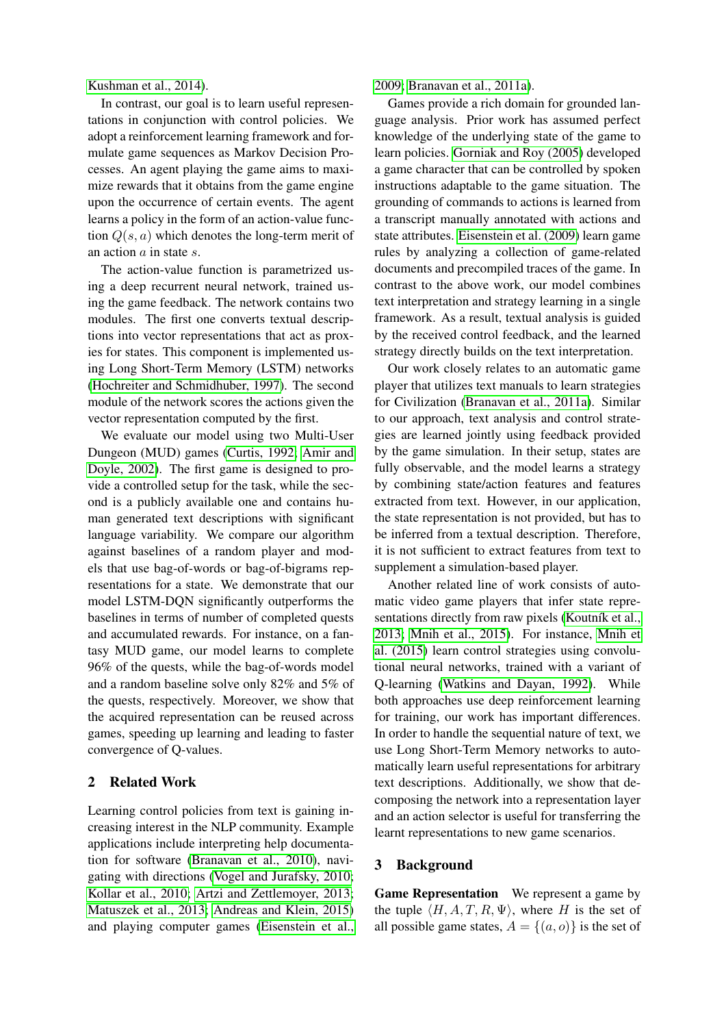[Kushman et al., 2014\)](#page-9-2).

In contrast, our goal is to learn useful representations in conjunction with control policies. We adopt a reinforcement learning framework and formulate game sequences as Markov Decision Processes. An agent playing the game aims to maximize rewards that it obtains from the game engine upon the occurrence of certain events. The agent learns a policy in the form of an action-value function  $Q(s, a)$  which denotes the long-term merit of an action a in state s.

The action-value function is parametrized using a deep recurrent neural network, trained using the game feedback. The network contains two modules. The first one converts textual descriptions into vector representations that act as proxies for states. This component is implemented using Long Short-Term Memory (LSTM) networks [\(Hochreiter and Schmidhuber, 1997\)](#page-9-3). The second module of the network scores the actions given the vector representation computed by the first.

We evaluate our model using two Multi-User Dungeon (MUD) games [\(Curtis, 1992;](#page-9-4) [Amir and](#page-8-0) [Doyle, 2002\)](#page-8-0). The first game is designed to provide a controlled setup for the task, while the second is a publicly available one and contains human generated text descriptions with significant language variability. We compare our algorithm against baselines of a random player and models that use bag-of-words or bag-of-bigrams representations for a state. We demonstrate that our model LSTM-DQN significantly outperforms the baselines in terms of number of completed quests and accumulated rewards. For instance, on a fantasy MUD game, our model learns to complete 96% of the quests, while the bag-of-words model and a random baseline solve only 82% and 5% of the quests, respectively. Moreover, we show that the acquired representation can be reused across games, speeding up learning and leading to faster convergence of Q-values.

### 2 Related Work

Learning control policies from text is gaining increasing interest in the NLP community. Example applications include interpreting help documentation for software [\(Branavan et al., 2010\)](#page-8-1), navigating with directions [\(Vogel and Jurafsky, 2010;](#page-10-0) [Kollar et al., 2010;](#page-9-5) [Artzi and Zettlemoyer, 2013;](#page-8-2) [Matuszek et al., 2013;](#page-9-1) [Andreas and Klein, 2015\)](#page-8-3) and playing computer games [\(Eisenstein et al.,](#page-9-6)

[2009;](#page-9-6) [Branavan et al., 2011a\)](#page-9-7).

Games provide a rich domain for grounded language analysis. Prior work has assumed perfect knowledge of the underlying state of the game to learn policies. [Gorniak and Roy \(2005\)](#page-9-8) developed a game character that can be controlled by spoken instructions adaptable to the game situation. The grounding of commands to actions is learned from a transcript manually annotated with actions and state attributes. [Eisenstein et al. \(2009\)](#page-9-6) learn game rules by analyzing a collection of game-related documents and precompiled traces of the game. In contrast to the above work, our model combines text interpretation and strategy learning in a single framework. As a result, textual analysis is guided by the received control feedback, and the learned strategy directly builds on the text interpretation.

Our work closely relates to an automatic game player that utilizes text manuals to learn strategies for Civilization [\(Branavan et al., 2011a\)](#page-9-7). Similar to our approach, text analysis and control strategies are learned jointly using feedback provided by the game simulation. In their setup, states are fully observable, and the model learns a strategy by combining state/action features and features extracted from text. However, in our application, the state representation is not provided, but has to be inferred from a textual description. Therefore, it is not sufficient to extract features from text to supplement a simulation-based player.

Another related line of work consists of automatic video game players that infer state representations directly from raw pixels (Koutník et al., [2013;](#page-9-9) [Mnih et al., 2015\)](#page-9-10). For instance, [Mnih et](#page-9-10) [al. \(2015\)](#page-9-10) learn control strategies using convolutional neural networks, trained with a variant of Q-learning [\(Watkins and Dayan, 1992\)](#page-10-1). While both approaches use deep reinforcement learning for training, our work has important differences. In order to handle the sequential nature of text, we use Long Short-Term Memory networks to automatically learn useful representations for arbitrary text descriptions. Additionally, we show that decomposing the network into a representation layer and an action selector is useful for transferring the learnt representations to new game scenarios.

#### 3 Background

Game Representation We represent a game by the tuple  $\langle H, A, T, R, \Psi \rangle$ , where H is the set of all possible game states,  $A = \{(a, o)\}\$ is the set of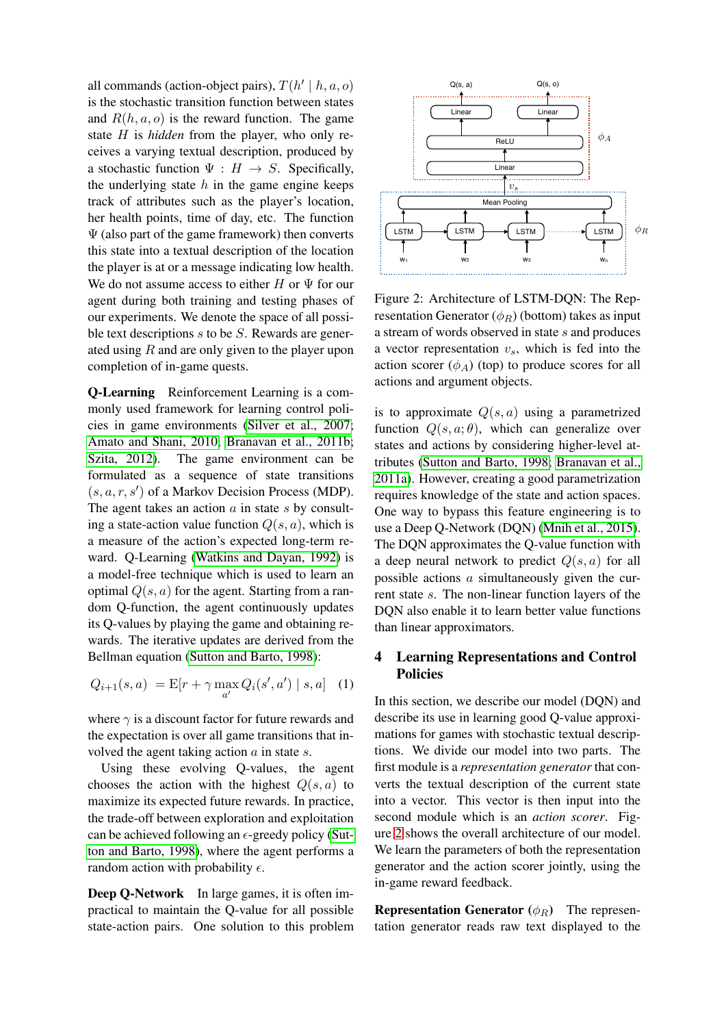all commands (action-object pairs),  $T(h' | h, a, o)$ is the stochastic transition function between states and  $R(h, a, o)$  is the reward function. The game state H is *hidden* from the player, who only receives a varying textual description, produced by a stochastic function  $\Psi : H \to S$ . Specifically, the underlying state  $h$  in the game engine keeps track of attributes such as the player's location, her health points, time of day, etc. The function  $\Psi$  (also part of the game framework) then converts this state into a textual description of the location the player is at or a message indicating low health. We do not assume access to either  $H$  or  $\Psi$  for our agent during both training and testing phases of our experiments. We denote the space of all possible text descriptions  $s$  to be  $S$ . Rewards are generated using  $R$  and are only given to the player upon completion of in-game quests.

<span id="page-2-1"></span>Q-Learning Reinforcement Learning is a commonly used framework for learning control policies in game environments [\(Silver et al., 2007;](#page-9-11) [Amato and Shani, 2010;](#page-8-4) [Branavan et al., 2011b;](#page-9-12) [Szita, 2012\)](#page-9-13). The game environment can be formulated as a sequence of state transitions  $(s, a, r, s')$  of a Markov Decision Process (MDP). The agent takes an action  $\alpha$  in state  $s$  by consulting a state-action value function  $Q(s, a)$ , which is a measure of the action's expected long-term reward. Q-Learning [\(Watkins and Dayan, 1992\)](#page-10-1) is a model-free technique which is used to learn an optimal  $Q(s, a)$  for the agent. Starting from a random Q-function, the agent continuously updates its Q-values by playing the game and obtaining rewards. The iterative updates are derived from the Bellman equation [\(Sutton and Barto, 1998\)](#page-9-14):

$$
Q_{i+1}(s, a) = \mathbb{E}[r + \gamma \max_{a'} Q_i(s', a') | s, a] \quad (1)
$$

where  $\gamma$  is a discount factor for future rewards and the expectation is over all game transitions that involved the agent taking action  $a$  in state  $s$ .

Using these evolving Q-values, the agent chooses the action with the highest  $Q(s, a)$  to maximize its expected future rewards. In practice, the trade-off between exploration and exploitation can be achieved following an  $\epsilon$ -greedy policy [\(Sut](#page-9-14)[ton and Barto, 1998\)](#page-9-14), where the agent performs a random action with probability  $\epsilon$ .

Deep Q-Network In large games, it is often impractical to maintain the Q-value for all possible state-action pairs. One solution to this problem

<span id="page-2-0"></span>

Figure 2: Architecture of LSTM-DQN: The Representation Generator  $(\phi_R)$  (bottom) takes as input a stream of words observed in state s and produces a vector representation  $v_s$ , which is fed into the action scorer  $(\phi_A)$  (top) to produce scores for all actions and argument objects.

is to approximate  $Q(s, a)$  using a parametrized function  $Q(s, a; \theta)$ , which can generalize over states and actions by considering higher-level attributes [\(Sutton and Barto, 1998;](#page-9-14) [Branavan et al.,](#page-9-7) [2011a\)](#page-9-7). However, creating a good parametrization requires knowledge of the state and action spaces. One way to bypass this feature engineering is to use a Deep Q-Network (DQN) [\(Mnih et al., 2015\)](#page-9-10). The DQN approximates the Q-value function with a deep neural network to predict  $Q(s, a)$  for all possible actions a simultaneously given the current state s. The non-linear function layers of the DQN also enable it to learn better value functions than linear approximators.

### 4 Learning Representations and Control Policies

In this section, we describe our model (DQN) and describe its use in learning good Q-value approximations for games with stochastic textual descriptions. We divide our model into two parts. The first module is a *representation generator* that converts the textual description of the current state into a vector. This vector is then input into the second module which is an *action scorer*. Figure [2](#page-2-0) shows the overall architecture of our model. We learn the parameters of both the representation generator and the action scorer jointly, using the in-game reward feedback.

**Representation Generator** ( $\phi_R$ ) The representation generator reads raw text displayed to the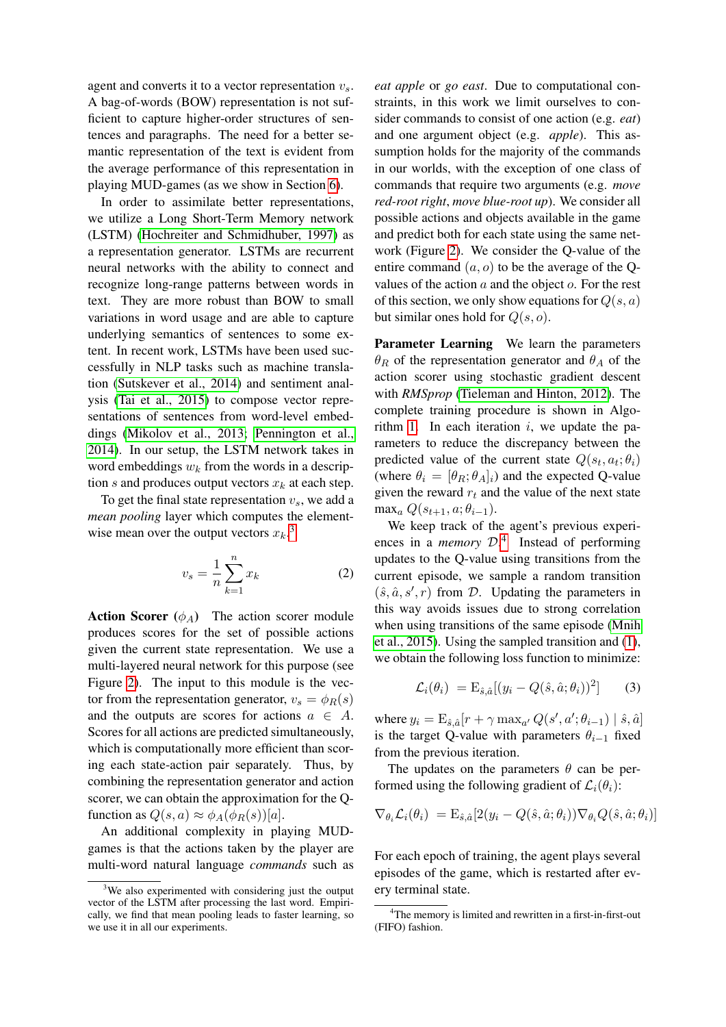agent and converts it to a vector representation  $v_s$ . A bag-of-words (BOW) representation is not sufficient to capture higher-order structures of sentences and paragraphs. The need for a better semantic representation of the text is evident from the average performance of this representation in playing MUD-games (as we show in Section [6\)](#page-6-0).

In order to assimilate better representations, we utilize a Long Short-Term Memory network (LSTM) [\(Hochreiter and Schmidhuber, 1997\)](#page-9-3) as a representation generator. LSTMs are recurrent neural networks with the ability to connect and recognize long-range patterns between words in text. They are more robust than BOW to small variations in word usage and are able to capture underlying semantics of sentences to some extent. In recent work, LSTMs have been used successfully in NLP tasks such as machine translation [\(Sutskever et al., 2014\)](#page-9-15) and sentiment analysis [\(Tai et al., 2015\)](#page-9-16) to compose vector representations of sentences from word-level embeddings [\(Mikolov et al., 2013;](#page-9-17) [Pennington et al.,](#page-9-18) [2014\)](#page-9-18). In our setup, the LSTM network takes in word embeddings  $w_k$  from the words in a description s and produces output vectors  $x_k$  at each step.

To get the final state representation  $v_s$ , we add a *mean pooling* layer which computes the elementwise mean over the output vectors  $x_k$ <sup>[3](#page-3-0)</sup>.

$$
v_s = \frac{1}{n} \sum_{k=1}^{n} x_k
$$
 (2)

Action Scorer  $(\phi_A)$  The action scorer module produces scores for the set of possible actions given the current state representation. We use a multi-layered neural network for this purpose (see Figure [2\)](#page-2-0). The input to this module is the vector from the representation generator,  $v_s = \phi_R(s)$ and the outputs are scores for actions  $a \in A$ . Scores for all actions are predicted simultaneously, which is computationally more efficient than scoring each state-action pair separately. Thus, by combining the representation generator and action scorer, we can obtain the approximation for the Qfunction as  $Q(s, a) \approx \phi_A(\phi_R(s))[a]$ .

An additional complexity in playing MUDgames is that the actions taken by the player are multi-word natural language *commands* such as *eat apple* or *go east*. Due to computational constraints, in this work we limit ourselves to consider commands to consist of one action (e.g. *eat*) and one argument object (e.g. *apple*). This assumption holds for the majority of the commands in our worlds, with the exception of one class of commands that require two arguments (e.g. *move red-root right*, *move blue-root up*). We consider all possible actions and objects available in the game and predict both for each state using the same network (Figure [2\)](#page-2-0). We consider the Q-value of the entire command  $(a, o)$  to be the average of the Qvalues of the action  $a$  and the object  $o$ . For the rest of this section, we only show equations for  $Q(s, a)$ but similar ones hold for  $Q(s, o)$ .

Parameter Learning We learn the parameters  $\theta_R$  of the representation generator and  $\theta_A$  of the action scorer using stochastic gradient descent with *RMSprop* [\(Tieleman and Hinton, 2012\)](#page-10-2). The complete training procedure is shown in Algo-rithm [1.](#page-4-0) In each iteration  $i$ , we update the parameters to reduce the discrepancy between the predicted value of the current state  $Q(s_t, a_t; \theta_i)$ (where  $\theta_i = [\theta_R; \theta_A]_i$ ) and the expected Q-value given the reward  $r_t$  and the value of the next state max<sub>a</sub>  $Q(s_{t+1}, a; \theta_{t-1}).$ 

We keep track of the agent's previous experiences in a *memory* D. [4](#page-3-1) Instead of performing updates to the Q-value using transitions from the current episode, we sample a random transition  $(\hat{s}, \hat{a}, s', r)$  from D. Updating the parameters in this way avoids issues due to strong correlation when using transitions of the same episode [\(Mnih](#page-9-10) [et al., 2015\)](#page-9-10). Using the sampled transition and [\(1\)](#page-2-1), we obtain the following loss function to minimize:

$$
\mathcal{L}_i(\theta_i) = \mathcal{E}_{\hat{s},\hat{a}}[(y_i - Q(\hat{s}, \hat{a}; \theta_i))^2]
$$
(3)

where  $y_i = E_{\hat{s},\hat{a}}[r + \gamma \max_{a'} Q(s', a'; \theta_{i-1}) | \hat{s}, \hat{a}]$ is the target Q-value with parameters  $\theta_{i-1}$  fixed from the previous iteration.

The updates on the parameters  $\theta$  can be performed using the following gradient of  $\mathcal{L}_i(\theta_i)$ :

$$
\nabla_{\theta_i} \mathcal{L}_i(\theta_i) = \mathbf{E}_{\hat{s},\hat{a}}[2(y_i - Q(\hat{s}, \hat{a}; \theta_i))\nabla_{\theta_i} Q(\hat{s}, \hat{a}; \theta_i)]
$$

For each epoch of training, the agent plays several episodes of the game, which is restarted after every terminal state.

<span id="page-3-0"></span> $3$ We also experimented with considering just the output vector of the LSTM after processing the last word. Empirically, we find that mean pooling leads to faster learning, so we use it in all our experiments.

<span id="page-3-1"></span><sup>&</sup>lt;sup>4</sup>The memory is limited and rewritten in a first-in-first-out (FIFO) fashion.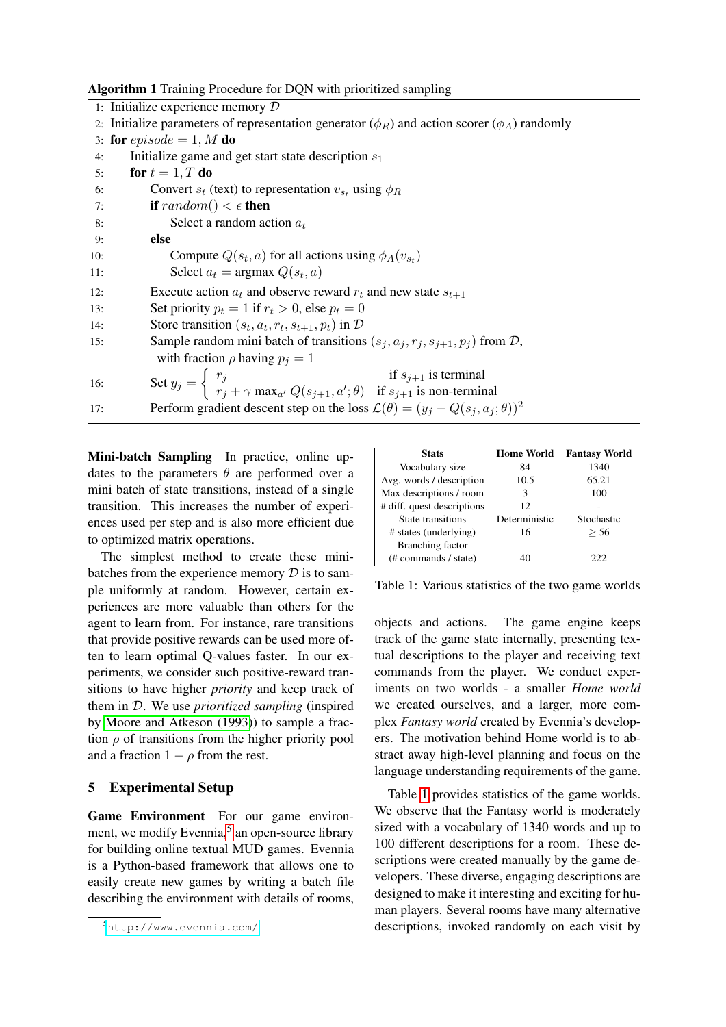Algorithm 1 Training Procedure for DQN with prioritized sampling

<span id="page-4-0"></span>

|     | 1: Initialize experience memory $D$                                                                                                                                              |
|-----|----------------------------------------------------------------------------------------------------------------------------------------------------------------------------------|
|     | 2. Initialize parameters of representation generator $(\phi_R)$ and action scorer $(\phi_A)$ randomly                                                                            |
|     | 3: for $episode = 1, M$ do                                                                                                                                                       |
| 4:  | Initialize game and get start state description $s_1$                                                                                                                            |
| 5:  | for $t=1, T$ do                                                                                                                                                                  |
| 6:  | Convert $s_t$ (text) to representation $v_{st}$ using $\phi_R$                                                                                                                   |
| 7:  | <b>if</b> random() $\lt$ $\epsilon$ <b>then</b>                                                                                                                                  |
| 8:  | Select a random action $a_t$                                                                                                                                                     |
| 9:  | else                                                                                                                                                                             |
| 10: | Compute $Q(s_t, a)$ for all actions using $\phi_A(v_{s_t})$                                                                                                                      |
| 11: | Select $a_t$ = argmax $Q(s_t, a)$                                                                                                                                                |
| 12: | Execute action $a_t$ and observe reward $r_t$ and new state $s_{t+1}$                                                                                                            |
| 13: | Set priority $p_t = 1$ if $r_t > 0$ , else $p_t = 0$                                                                                                                             |
| 14: | Store transition $(s_t, a_t, r_t, s_{t+1}, p_t)$ in $D$                                                                                                                          |
| 15: | Sample random mini batch of transitions $(s_j, a_j, r_j, s_{j+1}, p_j)$ from $D$ ,                                                                                               |
|     | with fraction $\rho$ having $p_i = 1$                                                                                                                                            |
| 16: | Set $y_j = \begin{cases} r_j & \text{if } s_{j+1} \text{ is terminal} \\ r_j + \gamma \max_{a'} Q(s_{j+1}, a'; \theta) & \text{if } s_{j+1} \text{ is non-terminal} \end{cases}$ |
| 17: | Perform gradient descent step on the loss $\mathcal{L}(\theta) = (y_j - Q(s_j, a_j; \theta))^2$                                                                                  |
|     |                                                                                                                                                                                  |

Mini-batch Sampling In practice, online updates to the parameters  $\theta$  are performed over a mini batch of state transitions, instead of a single transition. This increases the number of experiences used per step and is also more efficient due to optimized matrix operations.

The simplest method to create these minibatches from the experience memory  $D$  is to sample uniformly at random. However, certain experiences are more valuable than others for the agent to learn from. For instance, rare transitions that provide positive rewards can be used more often to learn optimal Q-values faster. In our experiments, we consider such positive-reward transitions to have higher *priority* and keep track of them in D. We use *prioritized sampling* (inspired by [Moore and Atkeson \(1993\)](#page-9-19)) to sample a fraction  $\rho$  of transitions from the higher priority pool and a fraction  $1 - \rho$  from the rest.

### 5 Experimental Setup

Game Environment For our game environ-ment, we modify Evennia,<sup>[5](#page-4-1)</sup> an open-source library for building online textual MUD games. Evennia is a Python-based framework that allows one to easily create new games by writing a batch file describing the environment with details of rooms,

<span id="page-4-2"></span>

| <b>Stats</b>               | <b>Home World</b> | <b>Fantasy World</b> |
|----------------------------|-------------------|----------------------|
| Vocabulary size            | 84                | 1340                 |
| Avg. words / description   | 10.5              | 65.21                |
| Max descriptions / room    | 3                 | 100                  |
| # diff. quest descriptions | 12                |                      |
| State transitions          | Deterministic     | Stochastic           |
| # states (underlying)      | 16                | > 56                 |
| <b>Branching factor</b>    |                   |                      |
| (# commands / state)       | 40                | 222                  |

Table 1: Various statistics of the two game worlds

objects and actions. The game engine keeps track of the game state internally, presenting textual descriptions to the player and receiving text commands from the player. We conduct experiments on two worlds - a smaller *Home world* we created ourselves, and a larger, more complex *Fantasy world* created by Evennia's developers. The motivation behind Home world is to abstract away high-level planning and focus on the language understanding requirements of the game.

Table [1](#page-4-2) provides statistics of the game worlds. We observe that the Fantasy world is moderately sized with a vocabulary of 1340 words and up to 100 different descriptions for a room. These descriptions were created manually by the game developers. These diverse, engaging descriptions are designed to make it interesting and exciting for human players. Several rooms have many alternative descriptions, invoked randomly on each visit by

<span id="page-4-1"></span><sup>5</sup><http://www.evennia.com/>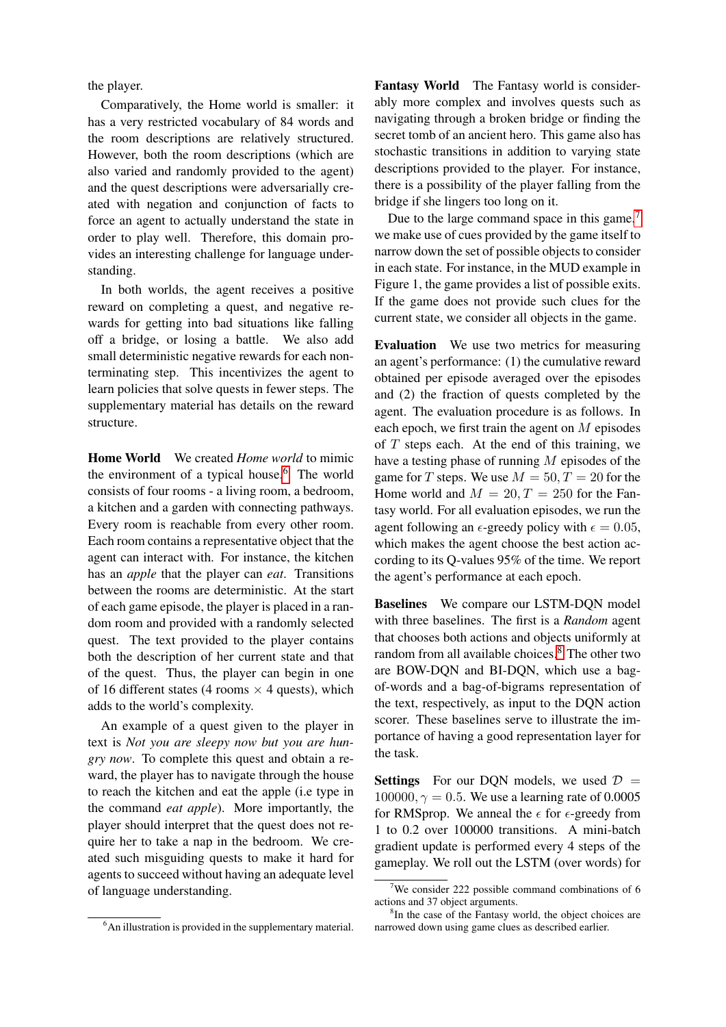the player.

Comparatively, the Home world is smaller: it has a very restricted vocabulary of 84 words and the room descriptions are relatively structured. However, both the room descriptions (which are also varied and randomly provided to the agent) and the quest descriptions were adversarially created with negation and conjunction of facts to force an agent to actually understand the state in order to play well. Therefore, this domain provides an interesting challenge for language understanding.

In both worlds, the agent receives a positive reward on completing a quest, and negative rewards for getting into bad situations like falling off a bridge, or losing a battle. We also add small deterministic negative rewards for each nonterminating step. This incentivizes the agent to learn policies that solve quests in fewer steps. The supplementary material has details on the reward structure.

Home World We created *Home world* to mimic the environment of a typical house.<sup>[6](#page-5-0)</sup> The world consists of four rooms - a living room, a bedroom, a kitchen and a garden with connecting pathways. Every room is reachable from every other room. Each room contains a representative object that the agent can interact with. For instance, the kitchen has an *apple* that the player can *eat*. Transitions between the rooms are deterministic. At the start of each game episode, the player is placed in a random room and provided with a randomly selected quest. The text provided to the player contains both the description of her current state and that of the quest. Thus, the player can begin in one of 16 different states (4 rooms  $\times$  4 quests), which adds to the world's complexity.

An example of a quest given to the player in text is *Not you are sleepy now but you are hungry now*. To complete this quest and obtain a reward, the player has to navigate through the house to reach the kitchen and eat the apple (i.e type in the command *eat apple*). More importantly, the player should interpret that the quest does not require her to take a nap in the bedroom. We created such misguiding quests to make it hard for agents to succeed without having an adequate level of language understanding.

<span id="page-5-0"></span><sup>6</sup>An illustration is provided in the supplementary material.

Fantasy World The Fantasy world is considerably more complex and involves quests such as navigating through a broken bridge or finding the secret tomb of an ancient hero. This game also has stochastic transitions in addition to varying state descriptions provided to the player. For instance, there is a possibility of the player falling from the bridge if she lingers too long on it.

Due to the large command space in this game,<sup>[7](#page-5-1)</sup> we make use of cues provided by the game itself to narrow down the set of possible objects to consider in each state. For instance, in the MUD example in Figure 1, the game provides a list of possible exits. If the game does not provide such clues for the current state, we consider all objects in the game.

Evaluation We use two metrics for measuring an agent's performance: (1) the cumulative reward obtained per episode averaged over the episodes and (2) the fraction of quests completed by the agent. The evaluation procedure is as follows. In each epoch, we first train the agent on  $M$  episodes of  $T$  steps each. At the end of this training, we have a testing phase of running M episodes of the game for T steps. We use  $M = 50, T = 20$  for the Home world and  $M = 20, T = 250$  for the Fantasy world. For all evaluation episodes, we run the agent following an  $\epsilon$ -greedy policy with  $\epsilon = 0.05$ , which makes the agent choose the best action according to its Q-values 95% of the time. We report the agent's performance at each epoch.

Baselines We compare our LSTM-DQN model with three baselines. The first is a *Random* agent that chooses both actions and objects uniformly at random from all available choices.<sup>[8](#page-5-2)</sup> The other two are BOW-DQN and BI-DQN, which use a bagof-words and a bag-of-bigrams representation of the text, respectively, as input to the DQN action scorer. These baselines serve to illustrate the importance of having a good representation layer for the task.

**Settings** For our DQN models, we used  $\mathcal{D}$  = 100000,  $\gamma = 0.5$ . We use a learning rate of 0.0005 for RMSprop. We anneal the  $\epsilon$  for  $\epsilon$ -greedy from 1 to 0.2 over 100000 transitions. A mini-batch gradient update is performed every 4 steps of the gameplay. We roll out the LSTM (over words) for

<span id="page-5-1"></span><sup>&</sup>lt;sup>7</sup>We consider 222 possible command combinations of 6 actions and 37 object arguments.

<span id="page-5-2"></span><sup>&</sup>lt;sup>8</sup>In the case of the Fantasy world, the object choices are narrowed down using game clues as described earlier.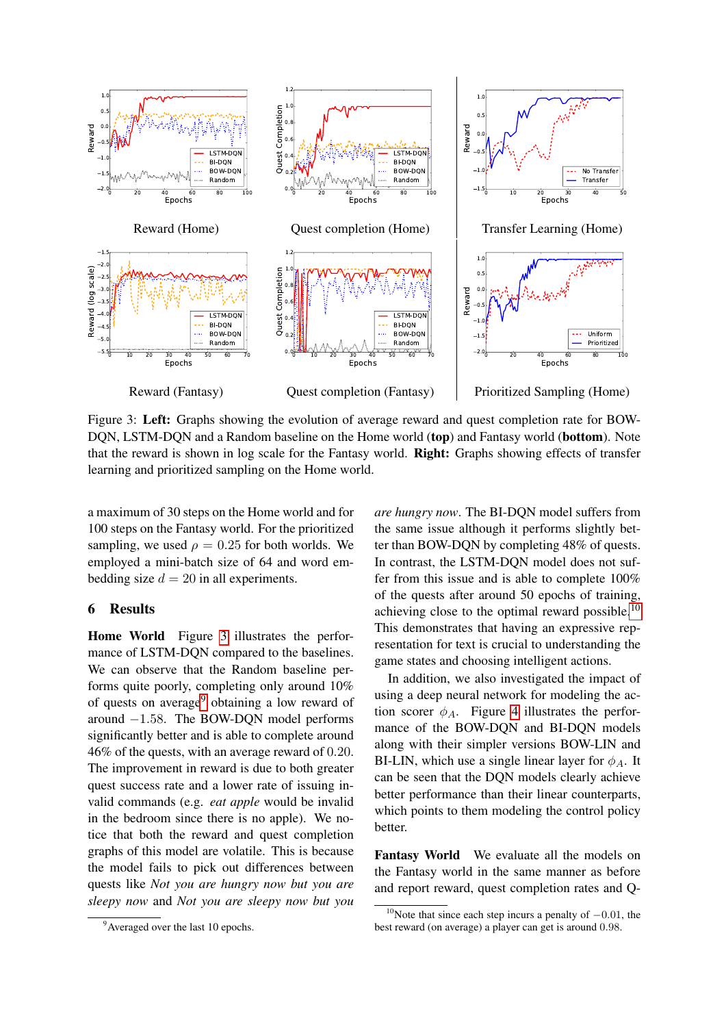<span id="page-6-1"></span>

Figure 3: Left: Graphs showing the evolution of average reward and quest completion rate for BOW-DQN, LSTM-DQN and a Random baseline on the Home world (top) and Fantasy world (bottom). Note that the reward is shown in log scale for the Fantasy world. Right: Graphs showing effects of transfer learning and prioritized sampling on the Home world.

a maximum of 30 steps on the Home world and for 100 steps on the Fantasy world. For the prioritized sampling, we used  $\rho = 0.25$  for both worlds. We employed a mini-batch size of 64 and word embedding size  $d = 20$  in all experiments.

### <span id="page-6-0"></span>6 Results

Home World Figure [3](#page-6-1) illustrates the performance of LSTM-DQN compared to the baselines. We can observe that the Random baseline performs quite poorly, completing only around 10% of quests on average<sup>[9](#page-6-2)</sup> obtaining a low reward of around −1.58. The BOW-DQN model performs significantly better and is able to complete around 46% of the quests, with an average reward of 0.20. The improvement in reward is due to both greater quest success rate and a lower rate of issuing invalid commands (e.g. *eat apple* would be invalid in the bedroom since there is no apple). We notice that both the reward and quest completion graphs of this model are volatile. This is because the model fails to pick out differences between quests like *Not you are hungry now but you are sleepy now* and *Not you are sleepy now but you* *are hungry now*. The BI-DQN model suffers from the same issue although it performs slightly better than BOW-DQN by completing 48% of quests. In contrast, the LSTM-DQN model does not suffer from this issue and is able to complete 100% of the quests after around 50 epochs of training, achieving close to the optimal reward possible. $10$ This demonstrates that having an expressive representation for text is crucial to understanding the game states and choosing intelligent actions.

In addition, we also investigated the impact of using a deep neural network for modeling the action scorer  $\phi_A$ . Figure [4](#page-7-0) illustrates the performance of the BOW-DQN and BI-DQN models along with their simpler versions BOW-LIN and BI-LIN, which use a single linear layer for  $\phi_A$ . It can be seen that the DQN models clearly achieve better performance than their linear counterparts, which points to them modeling the control policy better.

Fantasy World We evaluate all the models on the Fantasy world in the same manner as before and report reward, quest completion rates and Q-

<span id="page-6-2"></span><sup>&</sup>lt;sup>9</sup> Averaged over the last 10 epochs.

<span id="page-6-3"></span><sup>&</sup>lt;sup>10</sup>Note that since each step incurs a penalty of  $-0.01$ , the best reward (on average) a player can get is around 0.98.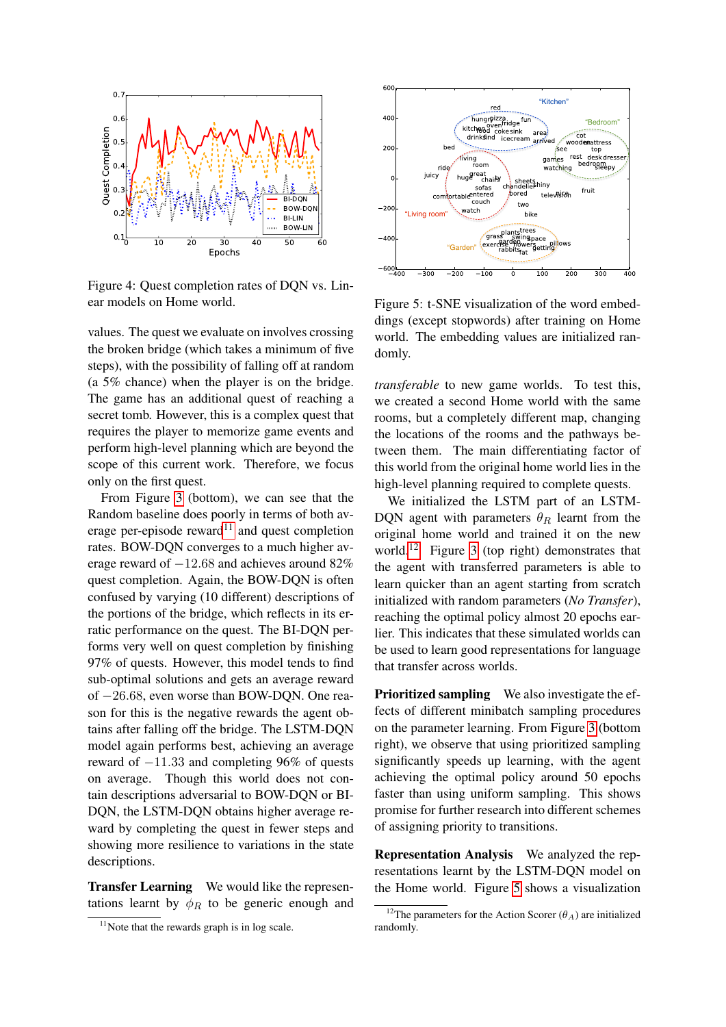<span id="page-7-0"></span>

Figure 4: Quest completion rates of DQN vs. Linear models on Home world.

values. The quest we evaluate on involves crossing the broken bridge (which takes a minimum of five steps), with the possibility of falling off at random (a 5% chance) when the player is on the bridge. The game has an additional quest of reaching a secret tomb. However, this is a complex quest that requires the player to memorize game events and perform high-level planning which are beyond the scope of this current work. Therefore, we focus only on the first quest.

From Figure [3](#page-6-1) (bottom), we can see that the Random baseline does poorly in terms of both av-erage per-episode reward<sup>[11](#page-7-1)</sup> and quest completion rates. BOW-DQN converges to a much higher average reward of −12.68 and achieves around 82% quest completion. Again, the BOW-DQN is often confused by varying (10 different) descriptions of the portions of the bridge, which reflects in its erratic performance on the quest. The BI-DQN performs very well on quest completion by finishing 97% of quests. However, this model tends to find sub-optimal solutions and gets an average reward of −26.68, even worse than BOW-DQN. One reason for this is the negative rewards the agent obtains after falling off the bridge. The LSTM-DQN model again performs best, achieving an average reward of −11.33 and completing 96% of quests on average. Though this world does not contain descriptions adversarial to BOW-DQN or BI-DQN, the LSTM-DQN obtains higher average reward by completing the quest in fewer steps and showing more resilience to variations in the state descriptions.

Transfer Learning We would like the representations learnt by  $\phi_R$  to be generic enough and

<span id="page-7-3"></span>

Figure 5: t-SNE visualization of the word embeddings (except stopwords) after training on Home world. The embedding values are initialized randomly.

*transferable* to new game worlds. To test this, we created a second Home world with the same rooms, but a completely different map, changing the locations of the rooms and the pathways between them. The main differentiating factor of this world from the original home world lies in the high-level planning required to complete quests.

We initialized the LSTM part of an LSTM-DQN agent with parameters  $\theta_R$  learnt from the original home world and trained it on the new world.<sup>[12](#page-7-2)</sup> Figure [3](#page-6-1) (top right) demonstrates that the agent with transferred parameters is able to learn quicker than an agent starting from scratch initialized with random parameters (*No Transfer*), reaching the optimal policy almost 20 epochs earlier. This indicates that these simulated worlds can be used to learn good representations for language that transfer across worlds.

Prioritized sampling We also investigate the effects of different minibatch sampling procedures on the parameter learning. From Figure [3](#page-6-1) (bottom right), we observe that using prioritized sampling significantly speeds up learning, with the agent achieving the optimal policy around 50 epochs faster than using uniform sampling. This shows promise for further research into different schemes of assigning priority to transitions.

Representation Analysis We analyzed the representations learnt by the LSTM-DQN model on the Home world. Figure [5](#page-7-3) shows a visualization

<span id="page-7-1"></span> $11$ Note that the rewards graph is in log scale.

<span id="page-7-2"></span><sup>&</sup>lt;sup>12</sup>The parameters for the Action Scorer ( $\theta_A$ ) are initialized randomly.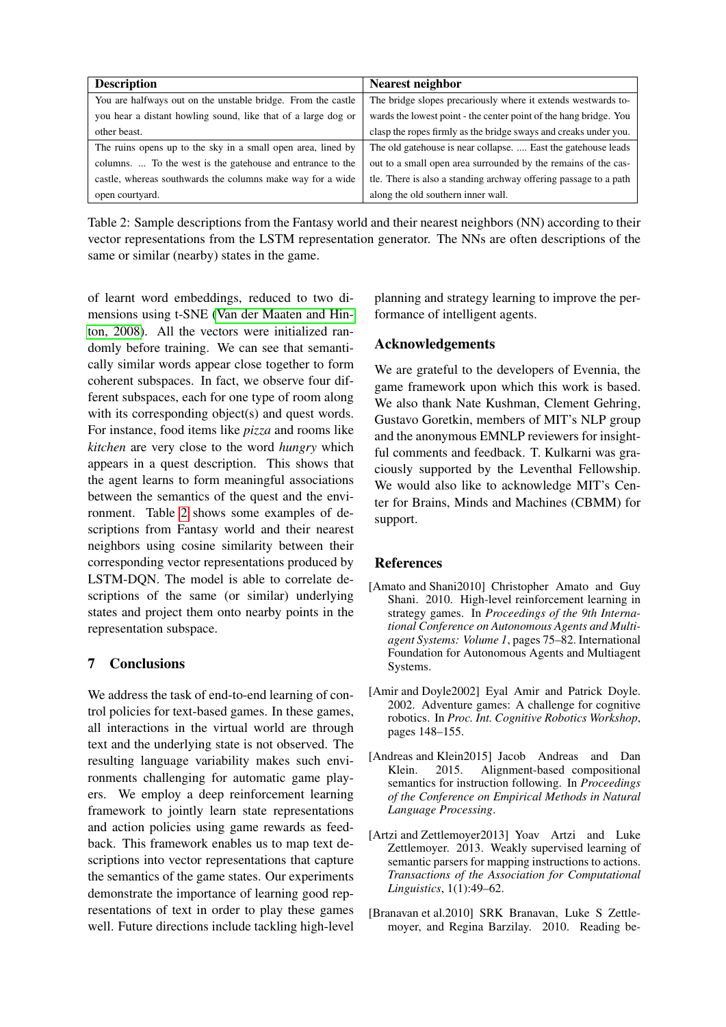<span id="page-8-5"></span>

| <b>Description</b>                                            | <b>Nearest neighbor</b>                                           |  |
|---------------------------------------------------------------|-------------------------------------------------------------------|--|
| You are halfways out on the unstable bridge. From the castle  | The bridge slopes precariously where it extends westwards to-     |  |
| you hear a distant howling sound, like that of a large dog or | wards the lowest point - the center point of the hang bridge. You |  |
| other beast.                                                  | clasp the ropes firmly as the bridge sways and creaks under you.  |  |
| The ruins opens up to the sky in a small open area, lined by  | The old gate house is near collapse.  East the gate house leads   |  |
| columns.  To the west is the gatehouse and entrance to the    | out to a small open area surrounded by the remains of the cas-    |  |
| castle, whereas southwards the columns make way for a wide    | tle. There is also a standing archway offering passage to a path  |  |
| open courtyard.                                               | along the old southern inner wall.                                |  |

Table 2: Sample descriptions from the Fantasy world and their nearest neighbors (NN) according to their vector representations from the LSTM representation generator. The NNs are often descriptions of the same or similar (nearby) states in the game.

of learnt word embeddings, reduced to two dimensions using t-SNE [\(Van der Maaten and Hin](#page-10-3)[ton, 2008\)](#page-10-3). All the vectors were initialized randomly before training. We can see that semantically similar words appear close together to form coherent subspaces. In fact, we observe four different subspaces, each for one type of room along with its corresponding object(s) and quest words. For instance, food items like *pizza* and rooms like *kitchen* are very close to the word *hungry* which appears in a quest description. This shows that the agent learns to form meaningful associations between the semantics of the quest and the environment. Table [2](#page-8-5) shows some examples of descriptions from Fantasy world and their nearest neighbors using cosine similarity between their corresponding vector representations produced by LSTM-DQN. The model is able to correlate descriptions of the same (or similar) underlying states and project them onto nearby points in the representation subspace.

## 7 Conclusions

We address the task of end-to-end learning of control policies for text-based games. In these games, all interactions in the virtual world are through text and the underlying state is not observed. The resulting language variability makes such environments challenging for automatic game players. We employ a deep reinforcement learning framework to jointly learn state representations and action policies using game rewards as feedback. This framework enables us to map text descriptions into vector representations that capture the semantics of the game states. Our experiments demonstrate the importance of learning good representations of text in order to play these games well. Future directions include tackling high-level planning and strategy learning to improve the performance of intelligent agents.

## Acknowledgements

We are grateful to the developers of Evennia, the game framework upon which this work is based. We also thank Nate Kushman, Clement Gehring, Gustavo Goretkin, members of MIT's NLP group and the anonymous EMNLP reviewers for insightful comments and feedback. T. Kulkarni was graciously supported by the Leventhal Fellowship. We would also like to acknowledge MIT's Center for Brains, Minds and Machines (CBMM) for support.

## References

- <span id="page-8-4"></span>[Amato and Shani2010] Christopher Amato and Guy Shani. 2010. High-level reinforcement learning in strategy games. In *Proceedings of the 9th International Conference on Autonomous Agents and Multiagent Systems: Volume 1*, pages 75–82. International Foundation for Autonomous Agents and Multiagent Systems.
- <span id="page-8-0"></span>[Amir and Doyle2002] Eyal Amir and Patrick Doyle. 2002. Adventure games: A challenge for cognitive robotics. In *Proc. Int. Cognitive Robotics Workshop*, pages 148–155.
- <span id="page-8-3"></span>[Andreas and Klein2015] Jacob Andreas and Dan Klein. 2015. Alignment-based compositional semantics for instruction following. In *Proceedings of the Conference on Empirical Methods in Natural Language Processing*.
- <span id="page-8-2"></span>[Artzi and Zettlemoyer2013] Yoav Artzi and Luke Zettlemoyer. 2013. Weakly supervised learning of semantic parsers for mapping instructions to actions. *Transactions of the Association for Computational Linguistics*, 1(1):49–62.
- <span id="page-8-1"></span>[Branavan et al.2010] SRK Branavan, Luke S Zettlemoyer, and Regina Barzilay. 2010. Reading be-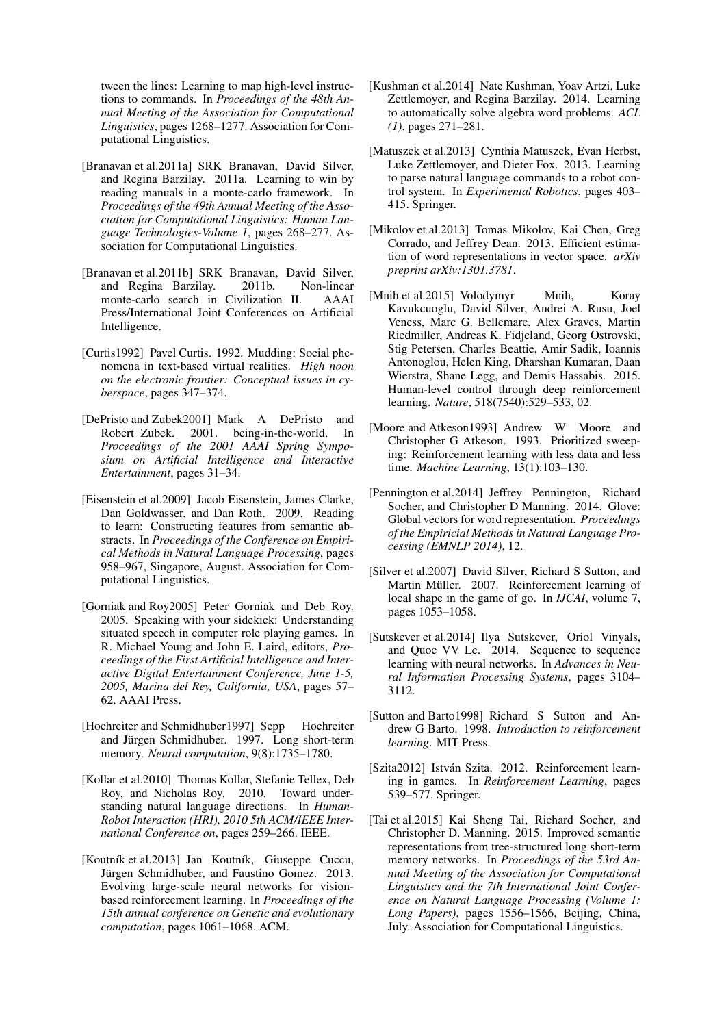tween the lines: Learning to map high-level instructions to commands. In *Proceedings of the 48th Annual Meeting of the Association for Computational Linguistics*, pages 1268–1277. Association for Computational Linguistics.

- <span id="page-9-7"></span>[Branavan et al.2011a] SRK Branavan, David Silver, and Regina Barzilay. 2011a. Learning to win by reading manuals in a monte-carlo framework. In *Proceedings of the 49th Annual Meeting of the Association for Computational Linguistics: Human Language Technologies-Volume 1*, pages 268–277. Association for Computational Linguistics.
- <span id="page-9-12"></span>[Branavan et al.2011b] SRK Branavan, David Silver, and Regina Barzilay. 2011b. Non-linear monte-carlo search in Civilization II. AAAI Press/International Joint Conferences on Artificial Intelligence.
- <span id="page-9-4"></span>[Curtis1992] Pavel Curtis. 1992. Mudding: Social phenomena in text-based virtual realities. *High noon on the electronic frontier: Conceptual issues in cyberspace*, pages 347–374.
- <span id="page-9-0"></span>[DePristo and Zubek2001] Mark A DePristo and Robert Zubek. 2001. being-in-the-world. In *Proceedings of the 2001 AAAI Spring Symposium on Artificial Intelligence and Interactive Entertainment*, pages 31–34.
- <span id="page-9-6"></span>[Eisenstein et al.2009] Jacob Eisenstein, James Clarke, Dan Goldwasser, and Dan Roth. 2009. Reading to learn: Constructing features from semantic abstracts. In *Proceedings of the Conference on Empirical Methods in Natural Language Processing*, pages 958–967, Singapore, August. Association for Computational Linguistics.
- <span id="page-9-8"></span>[Gorniak and Roy2005] Peter Gorniak and Deb Roy. 2005. Speaking with your sidekick: Understanding situated speech in computer role playing games. In R. Michael Young and John E. Laird, editors, *Proceedings of the First Artificial Intelligence and Interactive Digital Entertainment Conference, June 1-5, 2005, Marina del Rey, California, USA*, pages 57– 62. AAAI Press.
- <span id="page-9-3"></span>[Hochreiter and Schmidhuber1997] Sepp Hochreiter and Jürgen Schmidhuber. 1997. Long short-term memory. *Neural computation*, 9(8):1735–1780.
- <span id="page-9-5"></span>[Kollar et al.2010] Thomas Kollar, Stefanie Tellex, Deb Roy, and Nicholas Roy. 2010. Toward understanding natural language directions. In *Human-Robot Interaction (HRI), 2010 5th ACM/IEEE International Conference on*, pages 259–266. IEEE.
- <span id="page-9-9"></span>[Koutník et al.2013] Jan Koutník, Giuseppe Cuccu, Jürgen Schmidhuber, and Faustino Gomez. 2013. Evolving large-scale neural networks for visionbased reinforcement learning. In *Proceedings of the 15th annual conference on Genetic and evolutionary computation*, pages 1061–1068. ACM.
- <span id="page-9-2"></span>[Kushman et al.2014] Nate Kushman, Yoav Artzi, Luke Zettlemoyer, and Regina Barzilay. 2014. Learning to automatically solve algebra word problems. *ACL (1)*, pages 271–281.
- <span id="page-9-1"></span>[Matuszek et al.2013] Cynthia Matuszek, Evan Herbst, Luke Zettlemoyer, and Dieter Fox. 2013. Learning to parse natural language commands to a robot control system. In *Experimental Robotics*, pages 403– 415. Springer.
- <span id="page-9-17"></span>[Mikolov et al.2013] Tomas Mikolov, Kai Chen, Greg Corrado, and Jeffrey Dean. 2013. Efficient estimation of word representations in vector space. *arXiv preprint arXiv:1301.3781*.
- <span id="page-9-10"></span>[Mnih et al.2015] Volodymyr Mnih, Koray Kavukcuoglu, David Silver, Andrei A. Rusu, Joel Veness, Marc G. Bellemare, Alex Graves, Martin Riedmiller, Andreas K. Fidjeland, Georg Ostrovski, Stig Petersen, Charles Beattie, Amir Sadik, Ioannis Antonoglou, Helen King, Dharshan Kumaran, Daan Wierstra, Shane Legg, and Demis Hassabis. 2015. Human-level control through deep reinforcement learning. *Nature*, 518(7540):529–533, 02.
- <span id="page-9-19"></span>[Moore and Atkeson1993] Andrew W Moore and Christopher G Atkeson. 1993. Prioritized sweeping: Reinforcement learning with less data and less time. *Machine Learning*, 13(1):103–130.
- <span id="page-9-18"></span>[Pennington et al.2014] Jeffrey Pennington, Richard Socher, and Christopher D Manning. 2014. Glove: Global vectors for word representation. *Proceedings of the Empiricial Methods in Natural Language Processing (EMNLP 2014)*, 12.
- <span id="page-9-11"></span>[Silver et al.2007] David Silver, Richard S Sutton, and Martin Müller. 2007. Reinforcement learning of local shape in the game of go. In *IJCAI*, volume 7, pages 1053–1058.
- <span id="page-9-15"></span>[Sutskever et al.2014] Ilya Sutskever, Oriol Vinyals, and Quoc VV Le. 2014. Sequence to sequence learning with neural networks. In *Advances in Neural Information Processing Systems*, pages 3104– 3112.
- <span id="page-9-14"></span>[Sutton and Barto1998] Richard S Sutton and Andrew G Barto. 1998. *Introduction to reinforcement learning*. MIT Press.
- <span id="page-9-13"></span>[Szita2012] István Szita. 2012. Reinforcement learning in games. In *Reinforcement Learning*, pages 539–577. Springer.
- <span id="page-9-16"></span>[Tai et al.2015] Kai Sheng Tai, Richard Socher, and Christopher D. Manning. 2015. Improved semantic representations from tree-structured long short-term memory networks. In *Proceedings of the 53rd Annual Meeting of the Association for Computational Linguistics and the 7th International Joint Conference on Natural Language Processing (Volume 1: Long Papers)*, pages 1556–1566, Beijing, China, July. Association for Computational Linguistics.